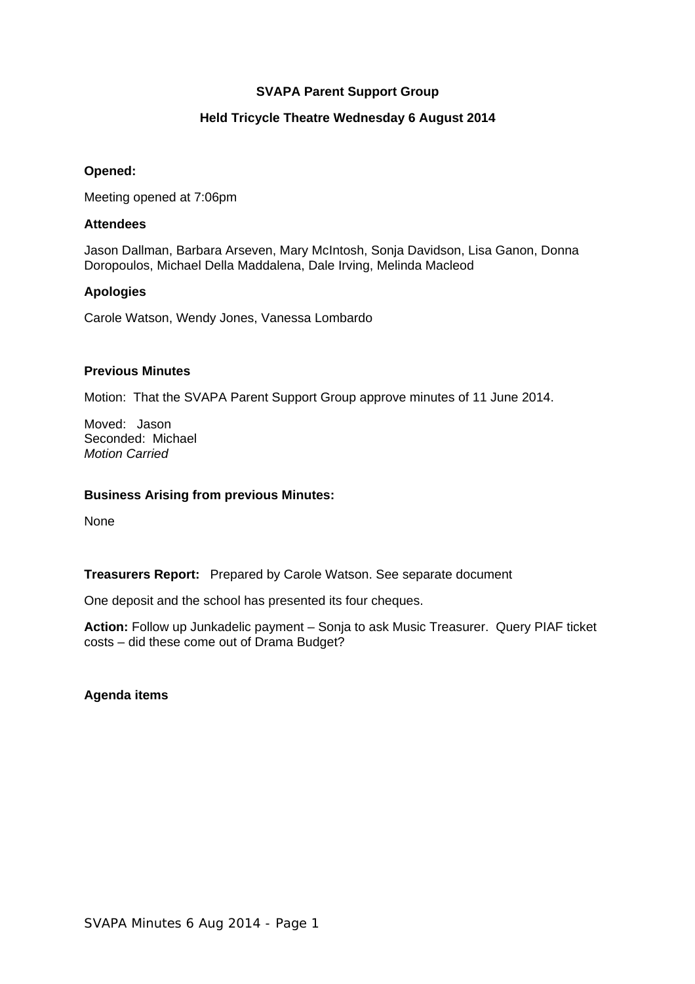# **SVAPA Parent Support Group**

# **Held Tricycle Theatre Wednesday 6 August 2014**

# **Opened:**

Meeting opened at 7:06pm

# **Attendees**

Jason Dallman, Barbara Arseven, Mary McIntosh, Sonja Davidson, Lisa Ganon, Donna Doropoulos, Michael Della Maddalena, Dale Irving, Melinda Macleod

# **Apologies**

Carole Watson, Wendy Jones, Vanessa Lombardo

# **Previous Minutes**

Motion: That the SVAPA Parent Support Group approve minutes of 11 June 2014.

Moved: Jason Seconded: Michael *Motion Carried* 

# **Business Arising from previous Minutes:**

None

**Treasurers Report:** Prepared by Carole Watson. See separate document

One deposit and the school has presented its four cheques.

**Action:** Follow up Junkadelic payment – Sonja to ask Music Treasurer. Query PIAF ticket costs – did these come out of Drama Budget?

**Agenda items**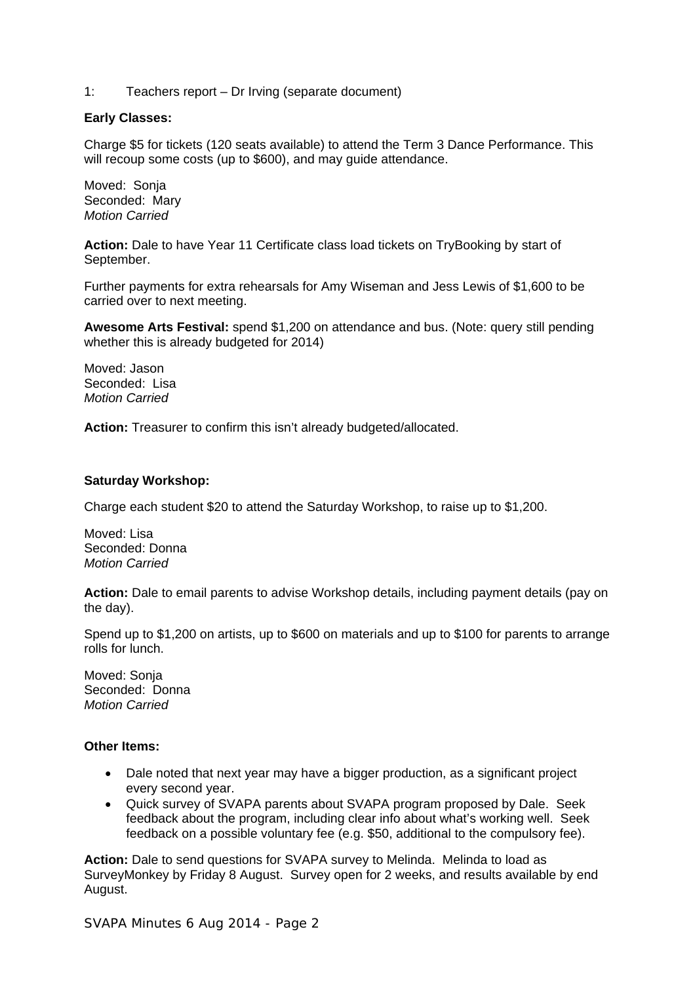1: Teachers report – Dr Irving (separate document)

# **Early Classes:**

Charge \$5 for tickets (120 seats available) to attend the Term 3 Dance Performance. This will recoup some costs (up to \$600), and may guide attendance.

Moved: Sonja Seconded: Mary *Motion Carried* 

**Action:** Dale to have Year 11 Certificate class load tickets on TryBooking by start of September.

Further payments for extra rehearsals for Amy Wiseman and Jess Lewis of \$1,600 to be carried over to next meeting.

**Awesome Arts Festival:** spend \$1,200 on attendance and bus. (Note: query still pending whether this is already budgeted for 2014)

Moved: Jason Seconded: Lisa *Motion Carried* 

**Action:** Treasurer to confirm this isn't already budgeted/allocated.

# **Saturday Workshop:**

Charge each student \$20 to attend the Saturday Workshop, to raise up to \$1,200.

Moved: Lisa Seconded: Donna *Motion Carried* 

**Action:** Dale to email parents to advise Workshop details, including payment details (pay on the day).

Spend up to \$1,200 on artists, up to \$600 on materials and up to \$100 for parents to arrange rolls for lunch.

Moved: Sonja Seconded: Donna *Motion Carried* 

#### **Other Items:**

- Dale noted that next year may have a bigger production, as a significant project every second year.
- Quick survey of SVAPA parents about SVAPA program proposed by Dale. Seek feedback about the program, including clear info about what's working well. Seek feedback on a possible voluntary fee (e.g. \$50, additional to the compulsory fee).

**Action:** Dale to send questions for SVAPA survey to Melinda. Melinda to load as SurveyMonkey by Friday 8 August. Survey open for 2 weeks, and results available by end August.